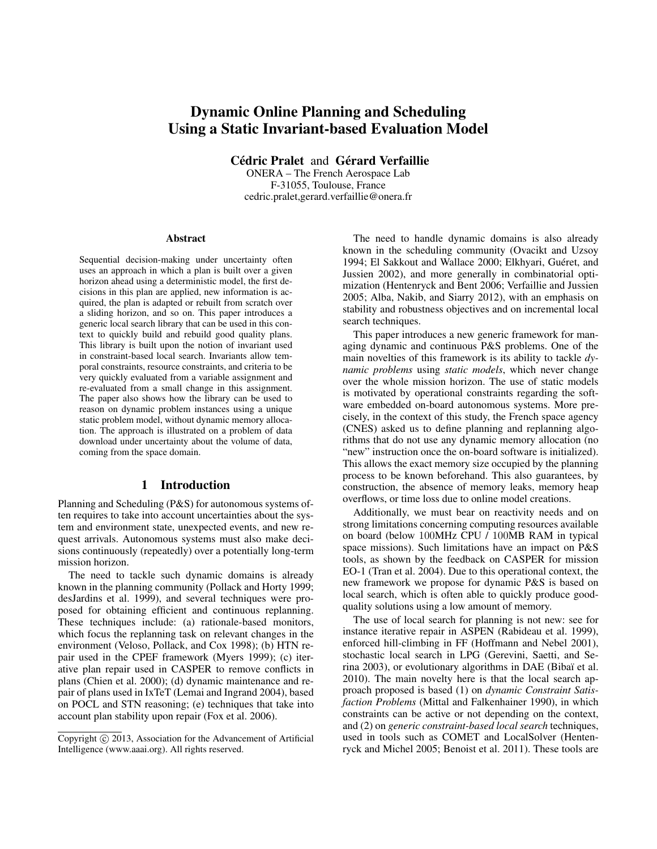# Dynamic Online Planning and Scheduling Using a Static Invariant-based Evaluation Model

Cédric Pralet and Gérard Verfaillie

ONERA – The French Aerospace Lab F-31055, Toulouse, France cedric.pralet,gerard.verfaillie@onera.fr

#### **Abstract**

Sequential decision-making under uncertainty often uses an approach in which a plan is built over a given horizon ahead using a deterministic model, the first decisions in this plan are applied, new information is acquired, the plan is adapted or rebuilt from scratch over a sliding horizon, and so on. This paper introduces a generic local search library that can be used in this context to quickly build and rebuild good quality plans. This library is built upon the notion of invariant used in constraint-based local search. Invariants allow temporal constraints, resource constraints, and criteria to be very quickly evaluated from a variable assignment and re-evaluated from a small change in this assignment. The paper also shows how the library can be used to reason on dynamic problem instances using a unique static problem model, without dynamic memory allocation. The approach is illustrated on a problem of data download under uncertainty about the volume of data, coming from the space domain.

## 1 Introduction

Planning and Scheduling (P&S) for autonomous systems often requires to take into account uncertainties about the system and environment state, unexpected events, and new request arrivals. Autonomous systems must also make decisions continuously (repeatedly) over a potentially long-term mission horizon.

The need to tackle such dynamic domains is already known in the planning community (Pollack and Horty 1999; desJardins et al. 1999), and several techniques were proposed for obtaining efficient and continuous replanning. These techniques include: (a) rationale-based monitors, which focus the replanning task on relevant changes in the environment (Veloso, Pollack, and Cox 1998); (b) HTN repair used in the CPEF framework (Myers 1999); (c) iterative plan repair used in CASPER to remove conflicts in plans (Chien et al. 2000); (d) dynamic maintenance and repair of plans used in IxTeT (Lemai and Ingrand 2004), based on POCL and STN reasoning; (e) techniques that take into account plan stability upon repair (Fox et al. 2006).

The need to handle dynamic domains is also already known in the scheduling community (Ovacikt and Uzsoy 1994; El Sakkout and Wallace 2000; Elkhyari, Guéret, and Jussien 2002), and more generally in combinatorial optimization (Hentenryck and Bent 2006; Verfaillie and Jussien 2005; Alba, Nakib, and Siarry 2012), with an emphasis on stability and robustness objectives and on incremental local search techniques.

This paper introduces a new generic framework for managing dynamic and continuous P&S problems. One of the main novelties of this framework is its ability to tackle *dynamic problems* using *static models*, which never change over the whole mission horizon. The use of static models is motivated by operational constraints regarding the software embedded on-board autonomous systems. More precisely, in the context of this study, the French space agency (CNES) asked us to define planning and replanning algorithms that do not use any dynamic memory allocation (no "new" instruction once the on-board software is initialized). This allows the exact memory size occupied by the planning process to be known beforehand. This also guarantees, by construction, the absence of memory leaks, memory heap overflows, or time loss due to online model creations.

Additionally, we must bear on reactivity needs and on strong limitations concerning computing resources available on board (below 100MHz CPU / 100MB RAM in typical space missions). Such limitations have an impact on P&S tools, as shown by the feedback on CASPER for mission EO-1 (Tran et al. 2004). Due to this operational context, the new framework we propose for dynamic P&S is based on local search, which is often able to quickly produce goodquality solutions using a low amount of memory.

The use of local search for planning is not new: see for instance iterative repair in ASPEN (Rabideau et al. 1999), enforced hill-climbing in FF (Hoffmann and Nebel 2001), stochastic local search in LPG (Gerevini, Saetti, and Serina 2003), or evolutionary algorithms in DAE (Bibaï et al. 2010). The main novelty here is that the local search approach proposed is based (1) on *dynamic Constraint Satisfaction Problems* (Mittal and Falkenhainer 1990), in which constraints can be active or not depending on the context, and (2) on *generic constraint-based local search* techniques, used in tools such as COMET and LocalSolver (Hentenryck and Michel 2005; Benoist et al. 2011). These tools are

Copyright (c) 2013, Association for the Advancement of Artificial Intelligence (www.aaai.org). All rights reserved.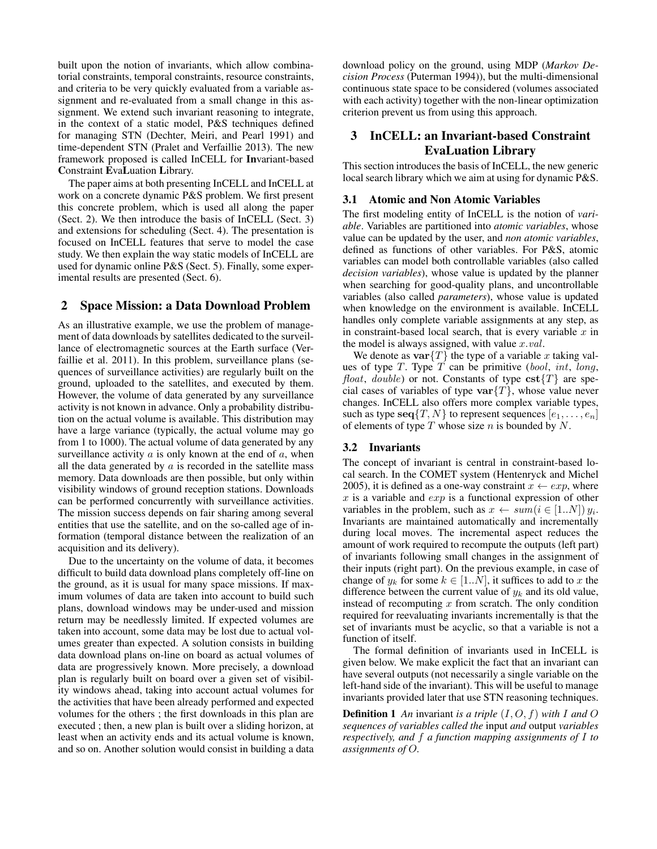built upon the notion of invariants, which allow combinatorial constraints, temporal constraints, resource constraints, and criteria to be very quickly evaluated from a variable assignment and re-evaluated from a small change in this assignment. We extend such invariant reasoning to integrate, in the context of a static model, P&S techniques defined for managing STN (Dechter, Meiri, and Pearl 1991) and time-dependent STN (Pralet and Verfaillie 2013). The new framework proposed is called InCELL for Invariant-based Constraint EvaLuation Library.

The paper aims at both presenting InCELL and InCELL at work on a concrete dynamic P&S problem. We first present this concrete problem, which is used all along the paper (Sect. 2). We then introduce the basis of InCELL (Sect. 3) and extensions for scheduling (Sect. 4). The presentation is focused on InCELL features that serve to model the case study. We then explain the way static models of InCELL are used for dynamic online P&S (Sect. 5). Finally, some experimental results are presented (Sect. 6).

## 2 Space Mission: a Data Download Problem

As an illustrative example, we use the problem of management of data downloads by satellites dedicated to the surveillance of electromagnetic sources at the Earth surface (Verfaillie et al. 2011). In this problem, surveillance plans (sequences of surveillance activities) are regularly built on the ground, uploaded to the satellites, and executed by them. However, the volume of data generated by any surveillance activity is not known in advance. Only a probability distribution on the actual volume is available. This distribution may have a large variance (typically, the actual volume may go from 1 to 1000). The actual volume of data generated by any surveillance activity  $a$  is only known at the end of  $a$ , when all the data generated by  $a$  is recorded in the satellite mass memory. Data downloads are then possible, but only within visibility windows of ground reception stations. Downloads can be performed concurrently with surveillance activities. The mission success depends on fair sharing among several entities that use the satellite, and on the so-called age of information (temporal distance between the realization of an acquisition and its delivery).

Due to the uncertainty on the volume of data, it becomes difficult to build data download plans completely off-line on the ground, as it is usual for many space missions. If maximum volumes of data are taken into account to build such plans, download windows may be under-used and mission return may be needlessly limited. If expected volumes are taken into account, some data may be lost due to actual volumes greater than expected. A solution consists in building data download plans on-line on board as actual volumes of data are progressively known. More precisely, a download plan is regularly built on board over a given set of visibility windows ahead, taking into account actual volumes for the activities that have been already performed and expected volumes for the others ; the first downloads in this plan are executed ; then, a new plan is built over a sliding horizon, at least when an activity ends and its actual volume is known, and so on. Another solution would consist in building a data download policy on the ground, using MDP (*Markov Decision Process* (Puterman 1994)), but the multi-dimensional continuous state space to be considered (volumes associated with each activity) together with the non-linear optimization criterion prevent us from using this approach.

## 3 InCELL: an Invariant-based Constraint EvaLuation Library

This section introduces the basis of InCELL, the new generic local search library which we aim at using for dynamic P&S.

### 3.1 Atomic and Non Atomic Variables

The first modeling entity of InCELL is the notion of *variable*. Variables are partitioned into *atomic variables*, whose value can be updated by the user, and *non atomic variables*, defined as functions of other variables. For P&S, atomic variables can model both controllable variables (also called *decision variables*), whose value is updated by the planner when searching for good-quality plans, and uncontrollable variables (also called *parameters*), whose value is updated when knowledge on the environment is available. InCELL handles only complete variable assignments at any step, as in constraint-based local search, that is every variable  $x$  in the model is always assigned, with value  $x.val$ .

We denote as  $var{T}$  the type of a variable x taking values of type  $T$ . Type  $T$  can be primitive (bool, int, long, *float, double*) or not. Constants of type  $\text{cst}\{T\}$  are special cases of variables of type  $var{T}$ , whose value never changes. InCELL also offers more complex variable types, such as type  $\text{seq}\{T, N\}$  to represent sequences  $[e_1, \ldots, e_n]$ of elements of type  $T$  whose size  $n$  is bounded by  $N$ .

### 3.2 Invariants

The concept of invariant is central in constraint-based local search. In the COMET system (Hentenryck and Michel 2005), it is defined as a one-way constraint  $x \leftarrow exp$ , where x is a variable and  $exp$  is a functional expression of other variables in the problem, such as  $x \leftarrow sum(i \in [1..N]) y_i$ . Invariants are maintained automatically and incrementally during local moves. The incremental aspect reduces the amount of work required to recompute the outputs (left part) of invariants following small changes in the assignment of their inputs (right part). On the previous example, in case of change of  $y_k$  for some  $k \in [1..N]$ , it suffices to add to x the difference between the current value of  $y_k$  and its old value, instead of recomputing  $x$  from scratch. The only condition required for reevaluating invariants incrementally is that the set of invariants must be acyclic, so that a variable is not a function of itself.

The formal definition of invariants used in InCELL is given below. We make explicit the fact that an invariant can have several outputs (not necessarily a single variable on the left-hand side of the invariant). This will be useful to manage invariants provided later that use STN reasoning techniques.

**Definition 1** An invariant is a triple  $(I, O, f)$  with I and O *sequences of variables called the* input *and* output *variables respectively, and* f *a function mapping assignments of* I *to assignments of* O*.*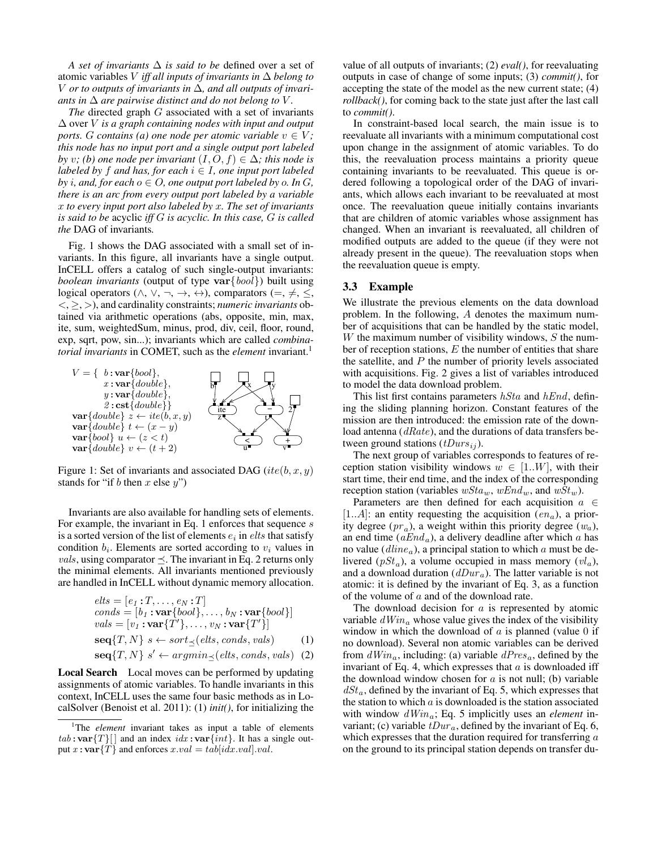*A set of invariants* ∆ *is said to be* defined over a set of atomic variables V *iff all inputs of invariants in* ∆ *belong to* V *or to outputs of invariants in* ∆*, and all outputs of invariants in*  $\Delta$  *are pairwise distinct and do not belong to V.* 

*The* directed graph G associated with a set of invariants ∆ over V *is a graph containing nodes with input and output ports. G contains* (*a*) *one node per atomic variable*  $v \in V$ ; *this node has no input port and a single output port labeled by v;* (b) one node per invariant  $(I, O, f) \in \Delta$ *; this node is labeled by* f *and has, for each*  $i \in I$ *, one input port labeled by i*, and, for each  $o \in O$ , one output port labeled by  $o$ . In  $G$ , *there is an arc from every output port labeled by a variable* x *to every input port also labeled by* x*. The set of invariants is said to be* acyclic *iff* G *is acyclic. In this case,* G *is called the* DAG of invariants*.*

Fig. 1 shows the DAG associated with a small set of invariants. In this figure, all invariants have a single output. InCELL offers a catalog of such single-output invariants: *boolean invariants* (output of type var{bool}) built using logical operators ( $\land$ ,  $\lor$ ,  $\neg$ ,  $\rightarrow$ ,  $\leftrightarrow$ ), comparators ( $=\neq$ ,  $\leq$ , <, ≥, >), and cardinality constraints; *numeric invariants* obtained via arithmetic operations (abs, opposite, min, max, ite, sum, weightedSum, minus, prod, div, ceil, floor, round, exp, sqrt, pow, sin...); invariants which are called *combinatorial invariants* in COMET, such as the *element* invariant.<sup>1</sup>



Figure 1: Set of invariants and associated DAG (ite(b, x, y) stands for "if b then x else  $y$ ")

Invariants are also available for handling sets of elements. For example, the invariant in Eq. 1 enforces that sequence s is a sorted version of the list of elements  $e_i$  in  $\textit{elts}$  that satisfy condition  $b_i$ . Elements are sorted according to  $v_i$  values in *vals*, using comparator  $\preceq$ . The invariant in Eq. 2 returns only the minimal elements. All invariants mentioned previously are handled in InCELL without dynamic memory allocation.

$$
elts = [e_1 : T, \dots, e_N : T]
$$
  
\n
$$
cons = [b_1 : \mathbf{var} \{bool\}, \dots, b_N : \mathbf{var} \{bool\}]
$$
  
\n
$$
vals = [v_1 : \mathbf{var} \{T'\}, \dots, v_N : \mathbf{var} \{T'\}]
$$
  
\n
$$
\mathbf{seq} \{T, N\} \ s \leftarrow sort_{\preceq}(elts, cons, vals)
$$
  
\n
$$
\mathbf{seq} \{T, N\} \ s' \leftarrow argmin_{\preceq}(elts, cons, vals)
$$
  
\n(2)

Local Search Local moves can be performed by updating assignments of atomic variables. To handle invariants in this context, InCELL uses the same four basic methods as in LocalSolver (Benoist et al. 2011): (1) *init()*, for initializing the value of all outputs of invariants; (2) *eval()*, for reevaluating outputs in case of change of some inputs; (3) *commit()*, for accepting the state of the model as the new current state; (4) *rollback()*, for coming back to the state just after the last call to *commit()*.

In constraint-based local search, the main issue is to reevaluate all invariants with a minimum computational cost upon change in the assignment of atomic variables. To do this, the reevaluation process maintains a priority queue containing invariants to be reevaluated. This queue is ordered following a topological order of the DAG of invariants, which allows each invariant to be reevaluated at most once. The reevaluation queue initially contains invariants that are children of atomic variables whose assignment has changed. When an invariant is reevaluated, all children of modified outputs are added to the queue (if they were not already present in the queue). The reevaluation stops when the reevaluation queue is empty.

#### 3.3 Example

We illustrate the previous elements on the data download problem. In the following, A denotes the maximum number of acquisitions that can be handled by the static model, W the maximum number of visibility windows,  $S$  the number of reception stations,  $E$  the number of entities that share the satellite, and  $P$  the number of priority levels associated with acquisitions. Fig. 2 gives a list of variables introduced to model the data download problem.

This list first contains parameters  $hSta$  and  $hEnd$ , defining the sliding planning horizon. Constant features of the mission are then introduced: the emission rate of the download antenna (dRate), and the durations of data transfers between ground stations  $(tDurs_{ij})$ .

The next group of variables corresponds to features of reception station visibility windows  $w \in [1..W]$ , with their start time, their end time, and the index of the corresponding reception station (variables  $wStaw$ ,  $wEnd_w$ , and  $wSt_w$ ).

Parameters are then defined for each acquisition  $a \in$  $[1..A]$ : an entity requesting the acquisition  $(en_a)$ , a priority degree  $(pr_a)$ , a weight within this priority degree  $(w_a)$ , an end time  $(aEnd_a)$ , a delivery deadline after which a has no value ( $dline_a$ ), a principal station to which a must be delivered  $(pSt_a)$ , a volume occupied in mass memory  $(vl_a)$ , and a download duration  $(dDur_a)$ . The latter variable is not atomic: it is defined by the invariant of Eq. 3, as a function of the volume of  $a$  and of the download rate.

The download decision for  $a$  is represented by atomic variable  $dWin_a$  whose value gives the index of the visibility window in which the download of  $a$  is planned (value 0 if no download). Several non atomic variables can be derived from  $dWin_a$ , including: (a) variable  $dPres_a$ , defined by the invariant of Eq. 4, which expresses that  $a$  is downloaded iff the download window chosen for  $a$  is not null; (b) variable  $dSt_a$ , defined by the invariant of Eq. 5, which expresses that the station to which  $a$  is downloaded is the station associated with window dWina; Eq. 5 implicitly uses an *element* invariant; (c) variable  $tDur_a$ , defined by the invariant of Eq. 6, which expresses that the duration required for transferring  $a$ on the ground to its principal station depends on transfer du-

<sup>&</sup>lt;sup>1</sup>The *element* invariant takes as input a table of elements  $tab:var{T}[[ ]$  and an index  $idx:var(int]$ . It has a single output  $x:var{T}$  and enforces  $x.val = tab[idx.val].val.$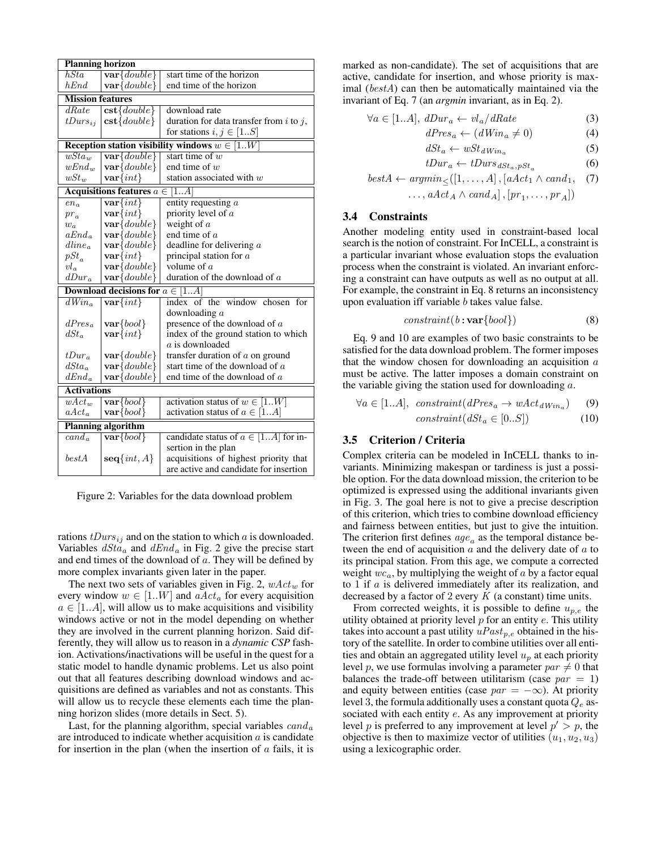| <b>Planning horizon</b>                           |                                       |                                              |  |  |  |  |
|---------------------------------------------------|---------------------------------------|----------------------------------------------|--|--|--|--|
| hSta                                              | $\mathbf{var} \{double\}$             | start time of the horizon                    |  |  |  |  |
| hEnd                                              | $\mathbf{var} \{ double \}$           | end time of the horizon                      |  |  |  |  |
| <b>Mission features</b>                           |                                       |                                              |  |  |  |  |
| dRate                                             | $\mathbf{cst} \{double\}$             | download rate                                |  |  |  |  |
| $tDurs_{ij}$                                      | $\mathbf{cst} \{double\}$             | duration for data transfer from $i$ to $j$ , |  |  |  |  |
|                                                   |                                       | for stations $i, j \in [1S]$                 |  |  |  |  |
| Reception station visibility windows $w \in [1W]$ |                                       |                                              |  |  |  |  |
| $\overline{wSta_w}$                               | $\mathbf{var} \{double\}$             | start time of $w$                            |  |  |  |  |
| $wEnd_w$                                          | $var \{double\}$                      | end time of $w$                              |  |  |  |  |
| $wSt_w$                                           | $var\{int\}$                          | station associated with $w$                  |  |  |  |  |
|                                                   | Acquisitions features $a \in$<br>[1A] |                                              |  |  |  |  |
| $en_a$                                            | $var\{int\}$                          | entity requesting a                          |  |  |  |  |
| $pr_a$                                            | $var\{int\}$                          | priority level of $a$                        |  |  |  |  |
| $w_a$                                             | $var \{double\}$                      | weight of $a$                                |  |  |  |  |
| $aEnd_a$                                          | $var \{double\}$                      | end time of $a$                              |  |  |  |  |
| $dline_a$                                         | $var \{double\}$                      | deadline for delivering $a$                  |  |  |  |  |
| $pSt_a$                                           | $var\{int\}$                          | principal station for $a$                    |  |  |  |  |
| $vl_a$                                            | $var \{double\}$                      | volume of $a$                                |  |  |  |  |
| $dDur_a$                                          | var[double]                           | duration of the download of $a$              |  |  |  |  |
|                                                   | Download decisions for $a \in$        | 1A                                           |  |  |  |  |
| $dWin_a$                                          | $\overline{\text{var}\{int\}}$        | index of the window chosen for               |  |  |  |  |
|                                                   |                                       | downloading $a$                              |  |  |  |  |
| $dPres_a$                                         | $var\{bool\}$                         | presence of the download of $a$              |  |  |  |  |
| dSt <sub>a</sub>                                  | $var\{int\}$                          | index of the ground station to which         |  |  |  |  |
|                                                   |                                       | $a$ is downloaded                            |  |  |  |  |
| $tDur_a$                                          | $var \{double\}$                      | transfer duration of $a$ on ground           |  |  |  |  |
| $dSta_a$                                          | $var \{double\}$                      | start time of the download of $a$            |  |  |  |  |
| $dEnd_a$                                          | var[double]                           | end time of the download of a                |  |  |  |  |
| <b>Activations</b>                                |                                       |                                              |  |  |  |  |
| $\overline{wAct}_m$                               | $var\{bool\}$                         | activation status of $w \in [1W]$            |  |  |  |  |
| $aAct_a$                                          | $var\{bool\}$                         | activation status of $a \in [1A]$            |  |  |  |  |
| <b>Planning algorithm</b>                         |                                       |                                              |  |  |  |  |
| $cand_a$                                          | $\overline{\text{var} \{bool\}}$      | candidate status of $a \in [1A]$ for in-     |  |  |  |  |
|                                                   |                                       | sertion in the plan                          |  |  |  |  |
| bestA                                             | $seq\{int, A\}$                       | acquisitions of highest priority that        |  |  |  |  |
|                                                   |                                       | are active and candidate for insertion       |  |  |  |  |
|                                                   |                                       |                                              |  |  |  |  |

Figure 2: Variables for the data download problem

rations  $tDurs_{ij}$  and on the station to which a is downloaded. Variables  $dSta_a$  and  $dEnd_a$  in Fig. 2 give the precise start and end times of the download of a. They will be defined by more complex invariants given later in the paper.

The next two sets of variables given in Fig. 2,  $wAct_w$  for every window  $w \in [1..W]$  and  $aAct_a$  for every acquisition  $a \in [1..A]$ , will allow us to make acquisitions and visibility windows active or not in the model depending on whether they are involved in the current planning horizon. Said differently, they will allow us to reason in a *dynamic CSP* fashion. Activations/inactivations will be useful in the quest for a static model to handle dynamic problems. Let us also point out that all features describing download windows and acquisitions are defined as variables and not as constants. This will allow us to recycle these elements each time the planning horizon slides (more details in Sect. 5).

Last, for the planning algorithm, special variables  $cand_a$ are introduced to indicate whether acquisition  $a$  is candidate for insertion in the plan (when the insertion of  $\alpha$  fails, it is

marked as non-candidate). The set of acquisitions that are active, candidate for insertion, and whose priority is maximal (bestA) can then be automatically maintained via the invariant of Eq. 7 (an *argmin* invariant, as in Eq. 2).

$$
\forall a \in [1..A], \, dDur_a \leftarrow vl_a / dRate \tag{3}
$$

$$
dPres_a \leftarrow (dWin_a \neq 0) \tag{4}
$$

$$
dSt_a \leftarrow wSt_{dWin_a} \tag{5}
$$

$$
tDur_a \leftarrow tDurs_{dSt_a, pSt_a} \tag{6}
$$

$$
bestA \leftarrow argmin_{\leq}([1, ..., A], [aAct_1 \land cand_1, (7) \dots, aAct_A \land cand_A], [pr_1, ..., pr_A])
$$

#### 3.4 Constraints

Another modeling entity used in constraint-based local search is the notion of constraint. For InCELL, a constraint is a particular invariant whose evaluation stops the evaluation process when the constraint is violated. An invariant enforcing a constraint can have outputs as well as no output at all. For example, the constraint in Eq. 8 returns an inconsistency upon evaluation iff variable  $b$  takes value false.

$$
constraint(b: var\{bool\})
$$
 (8)

Eq. 9 and 10 are examples of two basic constraints to be satisfied for the data download problem. The former imposes that the window chosen for downloading an acquisition  $a$ must be active. The latter imposes a domain constraint on the variable giving the station used for downloading a.

$$
\forall a \in [1..A], \; constraint(dPres_a \to wAct_{dWin_a}) \quad (9)
$$

$$
constraint(dSt_a \in [0..S]) \quad (10)
$$

#### 3.5 Criterion / Criteria

Complex criteria can be modeled in InCELL thanks to invariants. Minimizing makespan or tardiness is just a possible option. For the data download mission, the criterion to be optimized is expressed using the additional invariants given in Fig. 3. The goal here is not to give a precise description of this criterion, which tries to combine download efficiency and fairness between entities, but just to give the intuition. The criterion first defines  $age_a$  as the temporal distance between the end of acquisition  $a$  and the delivery date of  $a$  to its principal station. From this age, we compute a corrected weight  $wc_a$ , by multiplying the weight of a by a factor equal to  $1$  if  $\alpha$  is delivered immediately after its realization, and decreased by a factor of 2 every  $K$  (a constant) time units.

From corrected weights, it is possible to define  $u_{n,e}$  the utility obtained at priority level  $p$  for an entity  $e$ . This utility takes into account a past utility  $uFast_{p,e}$  obtained in the history of the satellite. In order to combine utilities over all entities and obtain an aggregated utility level  $u_p$  at each priority level p, we use formulas involving a parameter  $par \neq 0$  that balances the trade-off between utilitarism (case  $par = 1$ ) and equity between entities (case  $par = -\infty$ ). At priority level 3, the formula additionally uses a constant quota  $Q_e$  associated with each entity  $e$ . As any improvement at priority level p is preferred to any improvement at level  $p' > p$ , the objective is then to maximize vector of utilities  $(u_1, u_2, u_3)$ using a lexicographic order.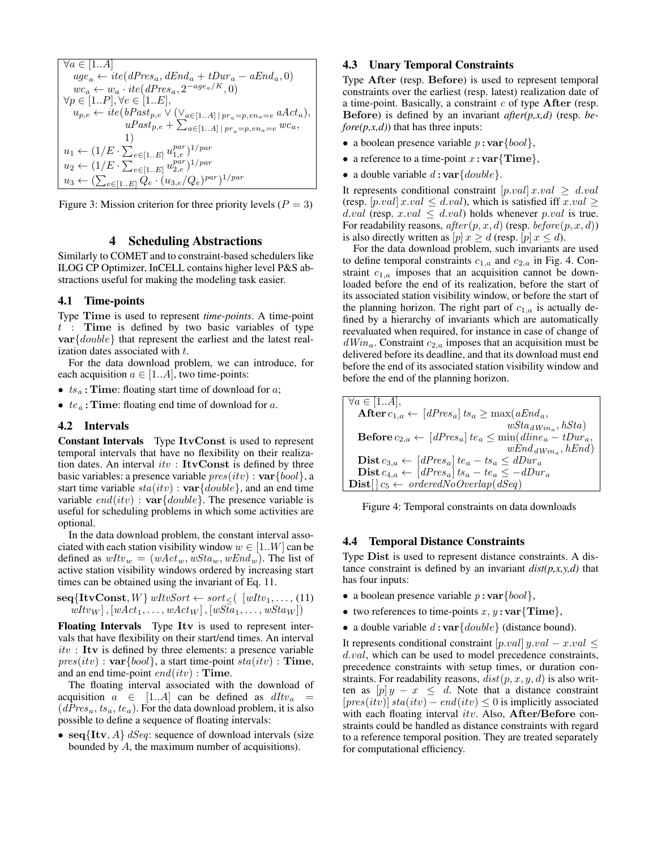$$
\forall a \in [1..A] age_a \leftarrow ite(dPres_a, dEnd_a + tDur_a - aEnd_a, 0) wc_a \leftarrow w_a \cdot ite(dPres_a, 2^{-age_a/K}, 0) \n\forall p \in [1..P], \forall e \in [1..E], u_{p,e} \leftarrow ite(bPast_{p,e} \vee (\vee_{a \in [1..A]} | pr_a = p, en_a = e \, aAct_a), uPast_{p,e} + \sum_{a \in [1..A]} pr_a = p, en_a = e \, wc_a, 1) u_1 \leftarrow (1/E \cdot \sum_{e \in [1..E]} u_{1,e}^{par})^{1/par} u_2 \leftarrow (1/E \cdot \sum_{e \in [1..E]} u_{2,e}^{par})^{1/par} u_3 \leftarrow (\sum_{e \in [1..E]} Q_e \cdot (u_{3,e}/Q_e)^{par})^{1/par}
$$

Figure 3: Mission criterion for three priority levels ( $P = 3$ )

## 4 Scheduling Abstractions

Similarly to COMET and to constraint-based schedulers like ILOG CP Optimizer, InCELL contains higher level P&S abstractions useful for making the modeling task easier.

## 4.1 Time-points

Type Time is used to represent *time-points*. A time-point  $t$  : Time is defined by two basic variables of type var{double} that represent the earliest and the latest realization dates associated with t.

For the data download problem, we can introduce, for each acquisition  $a \in [1..A]$ , two time-points:

- $ts_a$ : Time: floating start time of download for a;
- $te_a$ : Time: floating end time of download for  $a$ .

#### 4.2 Intervals

Constant Intervals Type ItvConst is used to represent temporal intervals that have no flexibility on their realization dates. An interval  $itv$  : ItvConst is defined by three basic variables: a presence variable  $pres(itv)$ :  $var{{bool}}$ , a start time variable  $sta(itv)$ :  $var{double}$ , and an end time variable  $end(itv)$ :  $var{double}$ . The presence variable is useful for scheduling problems in which some activities are optional.

In the data download problem, the constant interval associated with each station visibility window  $w \in [1..W]$  can be defined as  $wItv_w = (wAct_w, wStaw, wEnd_w)$ . The list of active station visibility windows ordered by increasing start times can be obtained using the invariant of Eq. 11.

$$
\textbf{seq} \{ \textbf{ItvConst}, W \} \text{ wItvSort} \leftarrow sort \leq (\text{ } [wItv_1, \dots, (11) \\ wItv_W], [wAct_1, \dots, wAct_W], [wSta_1, \dots, wSta_W])
$$

Floating Intervals Type Itv is used to represent intervals that have flexibility on their start/end times. An interval  $itv$ : Itv is defined by three elements: a presence variable  $pres(itv)$ :  $var{fbool}$ , a start time-point  $sta(itv)$ : Time, and an end time-point  $end(itv)$ : Time.

The floating interval associated with the download of acquisition  $a \in [1..A]$  can be defined as  $dI_t v_a =$  $(dPres<sub>a</sub>, ts<sub>a</sub>, te<sub>a</sub>)$ . For the data download problem, it is also possible to define a sequence of floating intervals:

• seq{Itv, A}  $dSeq$ : sequence of download intervals (size bounded by A, the maximum number of acquisitions).

#### 4.3 Unary Temporal Constraints

Type After (resp. Before) is used to represent temporal constraints over the earliest (resp. latest) realization date of a time-point. Basically, a constraint  $c$  of type After (resp. Before) is defined by an invariant *after(p,x,d)* (resp. *before(p,x,d)*) that has three inputs:

- a boolean presence variable  $p:var\{bool\}$ ,
- a reference to a time-point  $x:var\{\text{Time}\},\$
- a double variable  $d: \mathbf{var} \{double\}$ .

It represents conditional constraint  $[p.val] x.val \ge d.val$ (resp. [p.val]  $x.val \le d.val$ ), which is satisfied iff  $x.val \ge$ d.val (resp. x.val  $\leq$  d.val) holds whenever p.val is true. For readability reasons,  $after(p, x, d)$  (resp. before  $(p, x, d)$ ) is also directly written as  $[p] x \ge d$  (resp.  $[p] x \le d$ ).

For the data download problem, such invariants are used to define temporal constraints  $c_{1,a}$  and  $c_{2,a}$  in Fig. 4. Constraint  $c_{1,a}$  imposes that an acquisition cannot be downloaded before the end of its realization, before the start of its associated station visibility window, or before the start of the planning horizon. The right part of  $c_{1a}$  is actually defined by a hierarchy of invariants which are automatically reevaluated when required, for instance in case of change of  $dWin_a$ . Constraint  $c_{2,a}$  imposes that an acquisition must be delivered before its deadline, and that its download must end before the end of its associated station visibility window and before the end of the planning horizon.

 $\forall a \in [1..A],$  $A \in [1...A],$ <br> **After**  $c_{1,a} \leftarrow [dPres_a] \text{ts}_a \ge \max(aEnd_a,$  $wSta_{dWin_a}, hSta)$ **Before**  $c_{2,a} \leftarrow [dPres_a] te_a \le \min(dline_a - tDur_a)$  $wEnd_{dWin_a}, hEnd)$ **Dist**  $c_{3,a}$  ← [dPres<sub>a</sub>] te<sub>a</sub> − ts<sub>a</sub> ≤ dDur<sub>a</sub> **Dist**  $c_{4,a}$  ← [dPres<sub>a</sub>] ts<sub>a</sub> – te<sub>a</sub> ≤ –dDur<sub>a</sub>  $\textbf{Dist} [ ] c_5 \leftarrow \text{orderedNoOverlap}(dSeq)$ 

|  | Figure 4: Temporal constraints on data downloads |  |  |
|--|--------------------------------------------------|--|--|
|  |                                                  |  |  |

#### 4.4 Temporal Distance Constraints

Type Dist is used to represent distance constraints. A distance constraint is defined by an invariant *dist(p,x,y,d)* that has four inputs:

- a boolean presence variable  $p: \mathbf{var} \{bool\},\$
- two references to time-points  $x, y : \textbf{var} \{ \textbf{Time} \},\$
- a double variable  $d: \mathbf{var} \{double\}$  (distance bound).

It represents conditional constraint  $[p.val]$   $y.val - x.val \leq$ d.val, which can be used to model precedence constraints, precedence constraints with setup times, or duration constraints. For readability reasons,  $dist(p, x, y, d)$  is also written as  $[p] y - x \leq d$ . Note that a distance constraint  $[pres(itv)]$  sta $(itv)$  – end $(itv) \leq 0$  is implicitly associated with each floating interval itv. Also, After/Before constraints could be handled as distance constraints with regard to a reference temporal position. They are treated separately for computational efficiency.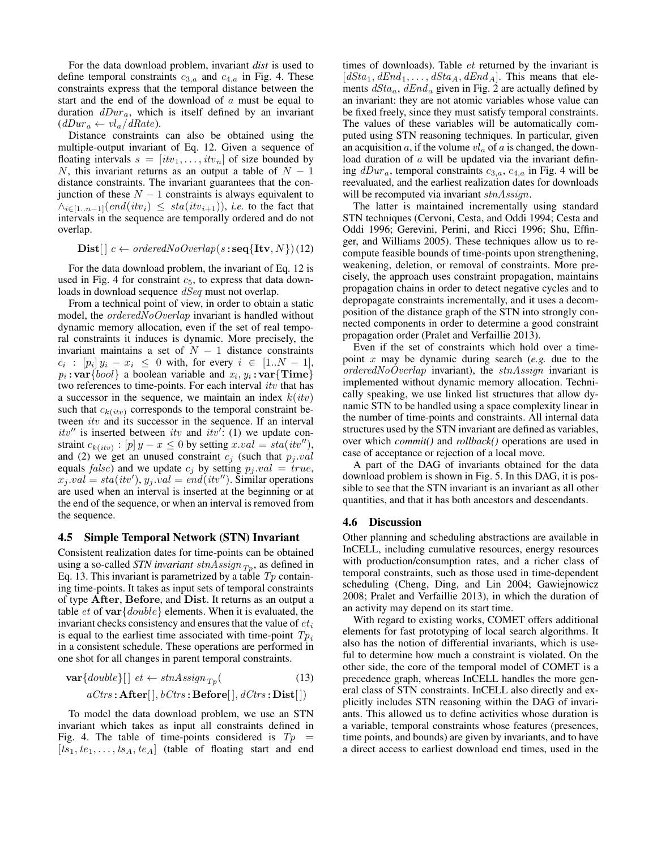For the data download problem, invariant *dist* is used to define temporal constraints  $c_{3,a}$  and  $c_{4,a}$  in Fig. 4. These constraints express that the temporal distance between the start and the end of the download of  $a$  must be equal to duration  $dDur_a$ , which is itself defined by an invariant  $(dDur_a \leftarrow vl_a / dRate).$ 

Distance constraints can also be obtained using the multiple-output invariant of Eq. 12. Given a sequence of floating intervals  $s = [itv_1, \dots, itv_n]$  of size bounded by N, this invariant returns as an output a table of  $N - 1$ distance constraints. The invariant guarantees that the conjunction of these  $N - 1$  constraints is always equivalent to  $\wedge_{i\in[1..n-1]}(end(itv_i) \leq sta(itv_{i+1}),$  *i.e.* to the fact that intervals in the sequence are temporally ordered and do not overlap.

 $\textbf{Dist} [ | c \leftarrow orderedNoOverlap(s \textbf{:} \textbf{seq} {\textbf{[Itv]}}, N )$  (12)

For the data download problem, the invariant of Eq. 12 is used in Fig. 4 for constraint  $c_5$ , to express that data downloads in download sequence  $dSeq$  must not overlap.

From a technical point of view, in order to obtain a static model, the *orderedNoOverlap* invariant is handled without dynamic memory allocation, even if the set of real temporal constraints it induces is dynamic. More precisely, the invariant maintains a set of  $N - 1$  distance constraints  $c_i$  :  $[p_i] y_i - x_i \leq 0$  with, for every  $i \in [1..N-1],$  $p_i: \textbf{var} \{bool\}$  a boolean variable and  $x_i, y_i: \textbf{var} \{Time\}$ two references to time-points. For each interval itv that has a successor in the sequence, we maintain an index  $k(itv)$ such that  $c_{k(itv)}$  corresponds to the temporal constraint between *itv* and its successor in the sequence. If an interval itv" is inserted between itv and itv': (1) we update constraint  $c_{k(itv)} : [p] y - x \leq 0$  by setting  $x.val = sta(itv'')$ , and (2) we get an unused constraint  $c_j$  (such that  $p_j.val$ equals *false*) and we update  $c_j$  by setting  $p_j.val = true$ ,  $x_j.val = sta(itv'), y_j.val = end(itv'')$ . Similar operations are used when an interval is inserted at the beginning or at the end of the sequence, or when an interval is removed from the sequence.

#### 4.5 Simple Temporal Network (STN) Invariant

Consistent realization dates for time-points can be obtained using a so-called *STN invariant*  $stnAssign_{T_p}$ , as defined in Eq. 13. This invariant is parametrized by a table  $Tp$  containing time-points. It takes as input sets of temporal constraints of type After, Before, and Dist. It returns as an output a table *et* of  $var \{double\}$  elements. When it is evaluated, the invariant checks consistency and ensures that the value of  $e t_i$ is equal to the earliest time associated with time-point  $Tp_i$ in a consistent schedule. These operations are performed in one shot for all changes in parent temporal constraints.

$$
\mathbf{var}\{double\}[] \text{ et } \leftarrow \text{stn} \text{Assign}_{Tp} \text{ } (13)
$$
\n
$$
a\text{ }C\text{ }trs: \mathbf{After}[] \text{, } b\text{ }C\text{ }trs: \mathbf{Before}[] \text{, } d\text{ }C\text{ }trs: \mathbf{Dist}[] )
$$

To model the data download problem, we use an STN invariant which takes as input all constraints defined in Fig. 4. The table of time-points considered is  $Tp =$  $[ts_1, te_1, \ldots, ts_A, te_A]$  (table of floating start and end times of downloads). Table et returned by the invariant is  $[dSta_1, dEnd_1, \ldots, dSta_A, dEnd_A]$ . This means that elements  $dSta_a$ ,  $dEnd_a$  given in Fig. 2 are actually defined by an invariant: they are not atomic variables whose value can be fixed freely, since they must satisfy temporal constraints. The values of these variables will be automatically computed using STN reasoning techniques. In particular, given an acquisition  $a$ , if the volume  $vl_a$  of  $a$  is changed, the download duration of a will be updated via the invariant defining  $dDur_a$ , temporal constraints  $c_{3,a}$ ,  $c_{4,a}$  in Fig. 4 will be reevaluated, and the earliest realization dates for downloads will be recomputed via invariant stnAssign.

The latter is maintained incrementally using standard STN techniques (Cervoni, Cesta, and Oddi 1994; Cesta and Oddi 1996; Gerevini, Perini, and Ricci 1996; Shu, Effinger, and Williams 2005). These techniques allow us to recompute feasible bounds of time-points upon strengthening, weakening, deletion, or removal of constraints. More precisely, the approach uses constraint propagation, maintains propagation chains in order to detect negative cycles and to depropagate constraints incrementally, and it uses a decomposition of the distance graph of the STN into strongly connected components in order to determine a good constraint propagation order (Pralet and Verfaillie 2013).

Even if the set of constraints which hold over a timepoint x may be dynamic during search (*e.g.* due to the  $orderedNo Overlap$  invariant), the  $stnAssign$  invariant is implemented without dynamic memory allocation. Technically speaking, we use linked list structures that allow dynamic STN to be handled using a space complexity linear in the number of time-points and constraints. All internal data structures used by the STN invariant are defined as variables, over which *commit()* and *rollback()* operations are used in case of acceptance or rejection of a local move.

A part of the DAG of invariants obtained for the data download problem is shown in Fig. 5. In this DAG, it is possible to see that the STN invariant is an invariant as all other quantities, and that it has both ancestors and descendants.

#### 4.6 Discussion

Other planning and scheduling abstractions are available in InCELL, including cumulative resources, energy resources with production/consumption rates, and a richer class of temporal constraints, such as those used in time-dependent scheduling (Cheng, Ding, and Lin 2004; Gawiejnowicz 2008; Pralet and Verfaillie 2013), in which the duration of an activity may depend on its start time.

With regard to existing works, COMET offers additional elements for fast prototyping of local search algorithms. It also has the notion of differential invariants, which is useful to determine how much a constraint is violated. On the other side, the core of the temporal model of COMET is a precedence graph, whereas InCELL handles the more general class of STN constraints. InCELL also directly and explicitly includes STN reasoning within the DAG of invariants. This allowed us to define activities whose duration is a variable, temporal constraints whose features (presences, time points, and bounds) are given by invariants, and to have a direct access to earliest download end times, used in the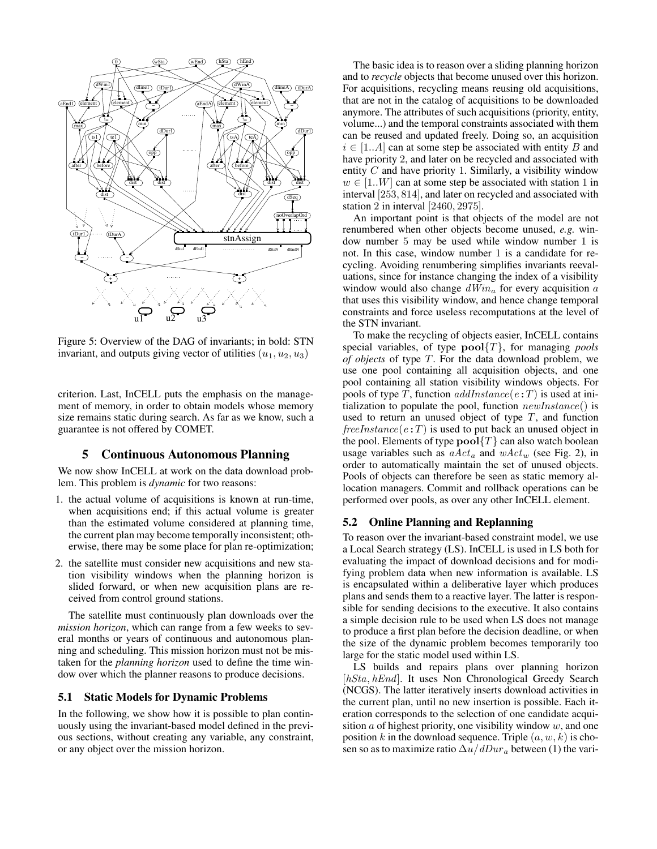

Figure 5: Overview of the DAG of invariants; in bold: STN invariant, and outputs giving vector of utilities  $(u_1, u_2, u_3)$ 

criterion. Last, InCELL puts the emphasis on the management of memory, in order to obtain models whose memory size remains static during search. As far as we know, such a guarantee is not offered by COMET.

## 5 Continuous Autonomous Planning

We now show InCELL at work on the data download problem. This problem is *dynamic* for two reasons:

- 1. the actual volume of acquisitions is known at run-time, when acquisitions end; if this actual volume is greater than the estimated volume considered at planning time, the current plan may become temporally inconsistent; otherwise, there may be some place for plan re-optimization;
- 2. the satellite must consider new acquisitions and new station visibility windows when the planning horizon is slided forward, or when new acquisition plans are received from control ground stations.

The satellite must continuously plan downloads over the *mission horizon*, which can range from a few weeks to several months or years of continuous and autonomous planning and scheduling. This mission horizon must not be mistaken for the *planning horizon* used to define the time window over which the planner reasons to produce decisions.

## 5.1 Static Models for Dynamic Problems

In the following, we show how it is possible to plan continuously using the invariant-based model defined in the previous sections, without creating any variable, any constraint, or any object over the mission horizon.

The basic idea is to reason over a sliding planning horizon and to *recycle* objects that become unused over this horizon. For acquisitions, recycling means reusing old acquisitions, that are not in the catalog of acquisitions to be downloaded anymore. The attributes of such acquisitions (priority, entity, volume...) and the temporal constraints associated with them can be reused and updated freely. Doing so, an acquisition  $i \in [1..A]$  can at some step be associated with entity B and have priority 2, and later on be recycled and associated with entity  $C$  and have priority 1. Similarly, a visibility window  $w \in [1..W]$  can at some step be associated with station 1 in interval [253, 814], and later on recycled and associated with station 2 in interval [2460, 2975].

An important point is that objects of the model are not renumbered when other objects become unused, *e.g.* window number 5 may be used while window number 1 is not. In this case, window number 1 is a candidate for recycling. Avoiding renumbering simplifies invariants reevaluations, since for instance changing the index of a visibility window would also change  $dWin_a$  for every acquisition a that uses this visibility window, and hence change temporal constraints and force useless recomputations at the level of the STN invariant.

To make the recycling of objects easier, InCELL contains special variables, of type pool{T}, for managing *pools of objects* of type T. For the data download problem, we use one pool containing all acquisition objects, and one pool containing all station visibility windows objects. For pools of type T, function  $addInstance(e:T)$  is used at initialization to populate the pool, function  $newInstance()$  is used to return an unused object of type  $T$ , and function  $freeInstance(e:T)$  is used to put back an unused object in the pool. Elements of type  $\text{pool}\{T\}$  can also watch boolean usage variables such as  $aAct_a$  and  $wAct_w$  (see Fig. 2), in order to automatically maintain the set of unused objects. Pools of objects can therefore be seen as static memory allocation managers. Commit and rollback operations can be performed over pools, as over any other InCELL element.

#### 5.2 Online Planning and Replanning

To reason over the invariant-based constraint model, we use a Local Search strategy (LS). InCELL is used in LS both for evaluating the impact of download decisions and for modifying problem data when new information is available. LS is encapsulated within a deliberative layer which produces plans and sends them to a reactive layer. The latter is responsible for sending decisions to the executive. It also contains a simple decision rule to be used when LS does not manage to produce a first plan before the decision deadline, or when the size of the dynamic problem becomes temporarily too large for the static model used within LS.

LS builds and repairs plans over planning horizon [hSta, hEnd]. It uses Non Chronological Greedy Search (NCGS). The latter iteratively inserts download activities in the current plan, until no new insertion is possible. Each iteration corresponds to the selection of one candidate acquisition  $a$  of highest priority, one visibility window  $w$ , and one position k in the download sequence. Triple  $(a, w, k)$  is chosen so as to maximize ratio  $\Delta u/dDur_a$  between (1) the vari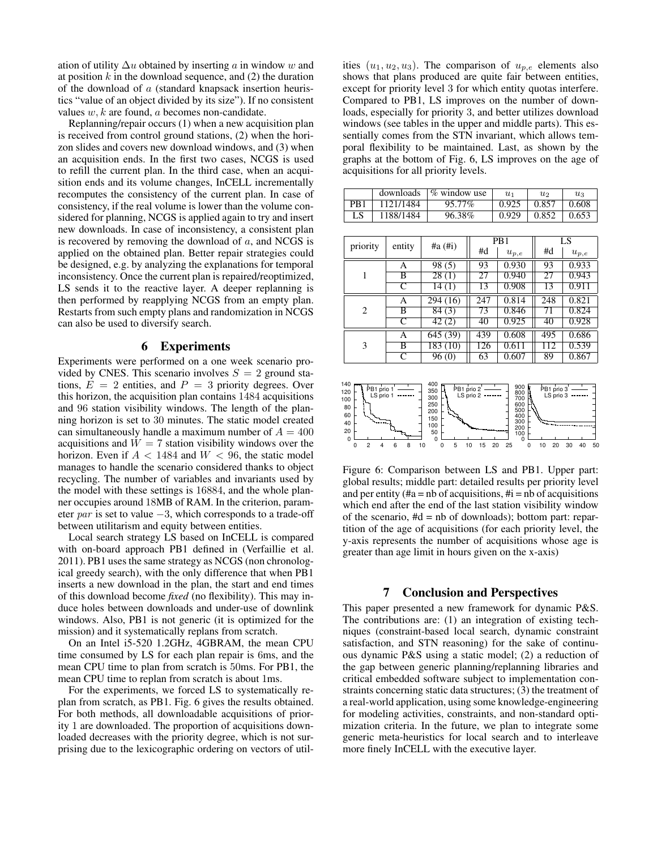ation of utility  $\Delta u$  obtained by inserting a in window w and at position  $k$  in the download sequence, and  $(2)$  the duration of the download of a (standard knapsack insertion heuristics "value of an object divided by its size"). If no consistent values  $w, k$  are found,  $a$  becomes non-candidate.

Replanning/repair occurs (1) when a new acquisition plan is received from control ground stations, (2) when the horizon slides and covers new download windows, and (3) when an acquisition ends. In the first two cases, NCGS is used to refill the current plan. In the third case, when an acquisition ends and its volume changes, InCELL incrementally recomputes the consistency of the current plan. In case of consistency, if the real volume is lower than the volume considered for planning, NCGS is applied again to try and insert new downloads. In case of inconsistency, a consistent plan is recovered by removing the download of  $a$ , and NCGS is applied on the obtained plan. Better repair strategies could be designed, e.g. by analyzing the explanations for temporal inconsistency. Once the current plan is repaired/reoptimized, LS sends it to the reactive layer. A deeper replanning is then performed by reapplying NCGS from an empty plan. Restarts from such empty plans and randomization in NCGS can also be used to diversify search.

### 6 Experiments

Experiments were performed on a one week scenario provided by CNES. This scenario involves  $S = 2$  ground stations,  $E = 2$  entities, and  $P = 3$  priority degrees. Over this horizon, the acquisition plan contains 1484 acquisitions and 96 station visibility windows. The length of the planning horizon is set to 30 minutes. The static model created can simultaneously handle a maximum number of  $A = 400$ acquisitions and  $W = 7$  station visibility windows over the horizon. Even if  $A < 1484$  and  $W < 96$ , the static model manages to handle the scenario considered thanks to object recycling. The number of variables and invariants used by the model with these settings is 16884, and the whole planner occupies around 18MB of RAM. In the criterion, parameter *par* is set to value  $-3$ , which corresponds to a trade-off between utilitarism and equity between entities.

Local search strategy LS based on InCELL is compared with on-board approach PB1 defined in (Verfaillie et al. 2011). PB1 uses the same strategy as NCGS (non chronological greedy search), with the only difference that when PB1 inserts a new download in the plan, the start and end times of this download become *fixed* (no flexibility). This may induce holes between downloads and under-use of downlink windows. Also, PB1 is not generic (it is optimized for the mission) and it systematically replans from scratch.

On an Intel i5-520 1.2GHz, 4GBRAM, the mean CPU time consumed by LS for each plan repair is 6ms, and the mean CPU time to plan from scratch is 50ms. For PB1, the mean CPU time to replan from scratch is about 1ms.

For the experiments, we forced LS to systematically replan from scratch, as PB1. Fig. 6 gives the results obtained. For both methods, all downloadable acquisitions of priority 1 are downloaded. The proportion of acquisitions downloaded decreases with the priority degree, which is not surprising due to the lexicographic ordering on vectors of utilities  $(u_1, u_2, u_3)$ . The comparison of  $u_{p,e}$  elements also shows that plans produced are quite fair between entities, except for priority level 3 for which entity quotas interfere. Compared to PB1, LS improves on the number of downloads, especially for priority 3, and better utilizes download windows (see tables in the upper and middle parts). This essentially comes from the STN invariant, which allows temporal flexibility to be maintained. Last, as shown by the graphs at the bottom of Fig. 6, LS improves on the age of acquisitions for all priority levels.

|                 | downloads | % window use | Uı    | $u_2$ | $u_3$ |
|-----------------|-----------|--------------|-------|-------|-------|
| PB <sub>1</sub> | 1121/1484 | 95.77%       | 0.925 | 0.857 | 0.608 |
| LS              | 1188/1484 | 96.38%       | 0.929 | 0.852 | 0.653 |

| priority                                                                                                                             | entity             | $\#a$ ( $\#i$ )    |     | P <sub>B</sub> 1 | LS  |           |  |
|--------------------------------------------------------------------------------------------------------------------------------------|--------------------|--------------------|-----|------------------|-----|-----------|--|
|                                                                                                                                      |                    |                    | #d  | $u_{p,e}$        | #d  | $u_{p,e}$ |  |
| 1                                                                                                                                    | А                  | 98(5)              | 93  | 0.930            | 93  | 0.933     |  |
|                                                                                                                                      | В                  | $\overline{28}(1)$ | 27  | 0.940            | 27  | 0.943     |  |
|                                                                                                                                      | C                  | 14(1)              | 13  | 0.908            | 13  | 0.911     |  |
| 2                                                                                                                                    | А                  | 294 (16)           | 247 | 0.814            | 248 | 0.821     |  |
|                                                                                                                                      | В                  | 84(3)              | 73  | 0.846            | 71  | 0.824     |  |
|                                                                                                                                      | $\overline{C}$     | 42(2)              | 40  | 0.925            | 40  | 0.928     |  |
| 3                                                                                                                                    | A                  | 645 (39)           | 439 | 0.608            | 495 | 0.686     |  |
|                                                                                                                                      | В                  | 183(10)            | 126 | 0.611            | 112 | 0.539     |  |
|                                                                                                                                      | $\overline{\rm c}$ | 96(0)              | 63  | 0.607            | 89  | 0.867     |  |
|                                                                                                                                      |                    |                    |     |                  |     |           |  |
| 140<br>400<br>900<br>PB1 prio 2<br>PB1 prio 3<br>PB1 prio 1<br>350<br>120<br>800<br>I S prio 3<br>I S nrio 1<br>I S prio 2<br>$\sim$ |                    |                    |     |                  |     |           |  |



Figure 6: Comparison between LS and PB1. Upper part: global results; middle part: detailed results per priority level and per entity ( $\#$ a = nb of acquisitions,  $\#$ i = nb of acquisitions which end after the end of the last station visibility window of the scenario,  $#d = nb$  of downloads); bottom part: repartition of the age of acquisitions (for each priority level, the y-axis represents the number of acquisitions whose age is greater than age limit in hours given on the x-axis)

#### 7 Conclusion and Perspectives

This paper presented a new framework for dynamic P&S. The contributions are: (1) an integration of existing techniques (constraint-based local search, dynamic constraint satisfaction, and STN reasoning) for the sake of continuous dynamic P&S using a static model; (2) a reduction of the gap between generic planning/replanning libraries and critical embedded software subject to implementation constraints concerning static data structures; (3) the treatment of a real-world application, using some knowledge-engineering for modeling activities, constraints, and non-standard optimization criteria. In the future, we plan to integrate some generic meta-heuristics for local search and to interleave more finely InCELL with the executive layer.